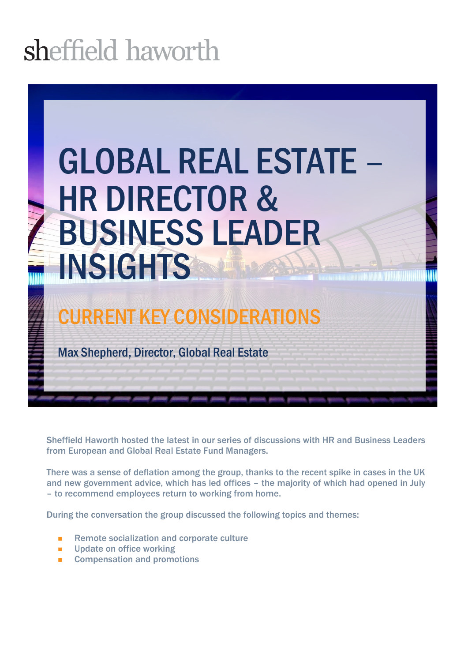# sheffield haworth

# GLOBAL REAL ESTATE – HR DIRECTOR & BUSINESS LEADER INSIGHTS

## CURRENT KEY CONSIDERATIONS

Max Shepherd, Director, Global Real Estate

Sheffield Haworth hosted the latest in our series of discussions with HR and Business Leaders from European and Global Real Estate Fund Managers.

There was a sense of deflation among the group, thanks to the recent spike in cases in the UK and new government advice, which has led offices – the majority of which had opened in July – to recommend employees return to working from home.

During the conversation the group discussed the following topics and themes:

- Remote socialization and corporate culture
- Update on office working
- Compensation and promotions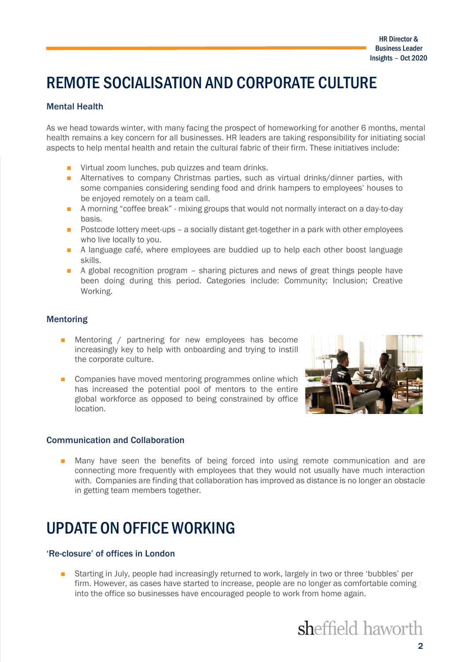## REMOTE SOCIALISATION AND CORPORATE CULTURE

## Mental Health

As we head towards winter, with many facing the prospect of homeworking for another 6 months, mental health remains a key concern for all businesses. HR leaders are taking responsibility for initiating social aspects to help mental health and retain the cultural fabric of their firm. These initiatives include:

- Virtual zoom lunches, pub quizzes and team drinks.
- Alternatives to company Christmas parties, such as virtual drinks/dinner parties, with some companies considering sending food and drink hampers to employees' houses to be enjoyed remotely on a team call.
- A morning "coffee break" mixing groups that would not normally interact on a day-to-day basis.
- Postcode lottery meet-ups a socially distant get-together in a park with other employees who live locally to you.
- A language café, where employees are buddied up to help each other boost language skills.
- A global recognition program sharing pictures and news of great things people have been doing during this period. Categories include: Community; Inclusion; Creative Working.

## Mentoring

- Mentoring / partnering for new employees has become increasingly key to help with onboarding and trying to instill the corporate culture.
- Companies have moved mentoring programmes online which has increased the potential pool of mentors to the entire global workforce as opposed to being constrained by office location.



## Communication and Collaboration

■ Many have seen the benefits of being forced into using remote communication and are connecting more frequently with employees that they would not usually have much interaction with. Companies are finding that collaboration has improved as distance is no longer an obstacle in getting team members together.

## UPDATE ON OFFICE WORKING

## 'Re-closure' of offices in London

Starting in July, people had increasingly returned to work, largely in two or three 'bubbles' per firm. However, as cases have started to increase, people are no longer as comfortable coming2 into the office so businesses have encouraged people to work from home again.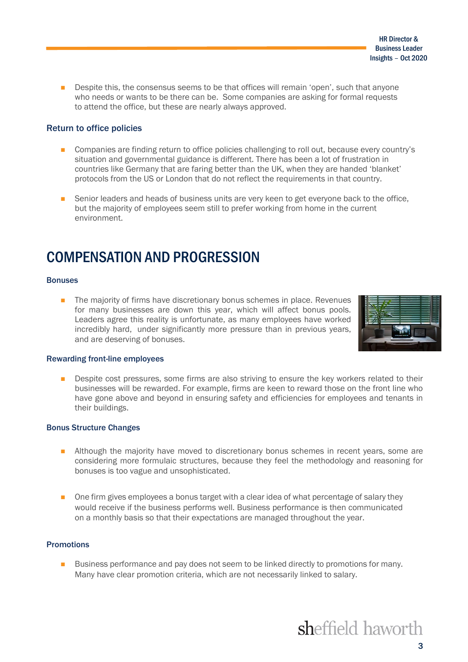■ Despite this, the consensus seems to be that offices will remain 'open', such that anyone who needs or wants to be there can be. Some companies are asking for formal requests to attend the office, but these are nearly always approved.

## Return to office policies

- Companies are finding return to office policies challenging to roll out, because every country's situation and governmental guidance is different. There has been a lot of frustration in countries like Germany that are faring better than the UK, when they are handed 'blanket' protocols from the US or London that do not reflect the requirements in that country.
- Senior leaders and heads of business units are very keen to get everyone back to the office, but the majority of employees seem still to prefer working from home in the current environment.

## COMPENSATION AND PROGRESSION

### Bonuses

■ The majority of firms have discretionary bonus schemes in place. Revenues for many businesses are down this year, which will affect bonus pools. Leaders agree this reality is unfortunate, as many employees have worked incredibly hard, under significantly more pressure than in previous years, and are deserving of bonuses.



## Rewarding front-line employees

■ Despite cost pressures, some firms are also striving to ensure the key workers related to their businesses will be rewarded. For example, firms are keen to reward those on the front line who have gone above and beyond in ensuring safety and efficiencies for employees and tenants in their buildings.

#### Bonus Structure Changes

- Although the majority have moved to discretionary bonus schemes in recent years, some are considering more formulaic structures, because they feel the methodology and reasoning for bonuses is too vague and unsophisticated.
- One firm gives employees a bonus target with a clear idea of what percentage of salary they would receive if the business performs well. Business performance is then communicated on a monthly basis so that their expectations are managed throughout the year.

#### **Promotions**

■ Business performance and pay does not seem to be linked directly to promotions for many. Many have clear promotion criteria, which are not necessarily linked to salary.